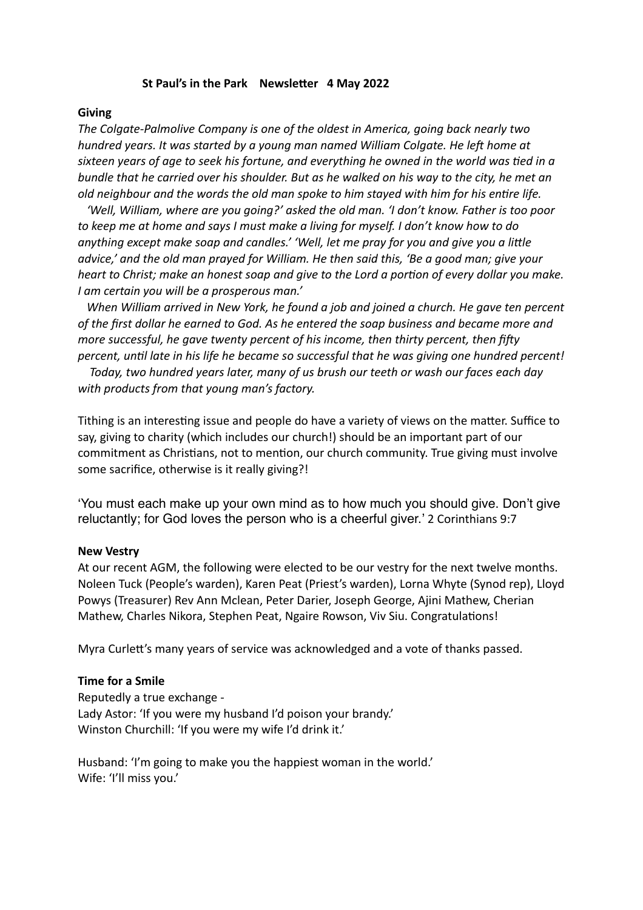## **St Paul's in the Park Newsletter 4 May 2022**

#### **Giving**

*The Colgate-Palmolive Company is one of the oldest in America, going back nearly two hundred years. It was started by a young man named William Colgate. He left home at sixteen years of age to seek his fortune, and everything he owned in the world was tied in a bundle that he carried over his shoulder. But as he walked on his way to the city, he met an old neighbour and the words the old man spoke to him stayed with him for his entire life.*

 *'Well, William, where are you going?' asked the old man. 'I don't know. Father is too poor to keep me at home and says I must make a living for myself. I don't know how to do anything except make soap and candles.' 'Well, let me pray for you and give you a little advice,' and the old man prayed for William. He then said this, 'Be a good man; give your heart to Christ; make an honest soap and give to the Lord a portion of every dollar you make. I am certain you will be a prosperous man.'*

 *When William arrived in New York, he found a job and joined a church. He gave ten percent of the first dollar he earned to God. As he entered the soap business and became more and more successful, he gave twenty percent of his income, then thirty percent, then fifty percent, until late in his life he became so successful that he was giving one hundred percent!*

 *Today, two hundred years later, many of us brush our teeth or wash our faces each day with products from that young man's factory.*

Tithing is an interesting issue and people do have a variety of views on the matter. Suffice to say, giving to charity (which includes our church!) should be an important part of our commitment as Christians, not to mention, our church community. True giving must involve some sacrifice, otherwise is it really giving?!

'You must each make up your own mind as to how much you should give. Don't give reluctantly; for God loves the person who is a cheerful giver.' 2 Corinthians 9:7

#### **New Vestry**

At our recent AGM, the following were elected to be our vestry for the next twelve months. Noleen Tuck (People's warden), Karen Peat (Priest's warden), Lorna Whyte (Synod rep), Lloyd Powys (Treasurer) Rev Ann Mclean, Peter Darier, Joseph George, Ajini Mathew, Cherian Mathew, Charles Nikora, Stephen Peat, Ngaire Rowson, Viv Siu. Congratulations!

Myra Curlett's many years of service was acknowledged and a vote of thanks passed.

## **Time for a Smile**

Reputedly a true exchange - Lady Astor: 'If you were my husband I'd poison your brandy.' Winston Churchill: 'If you were my wife I'd drink it.'

Husband: 'I'm going to make you the happiest woman in the world.' Wife: 'I'll miss you.'